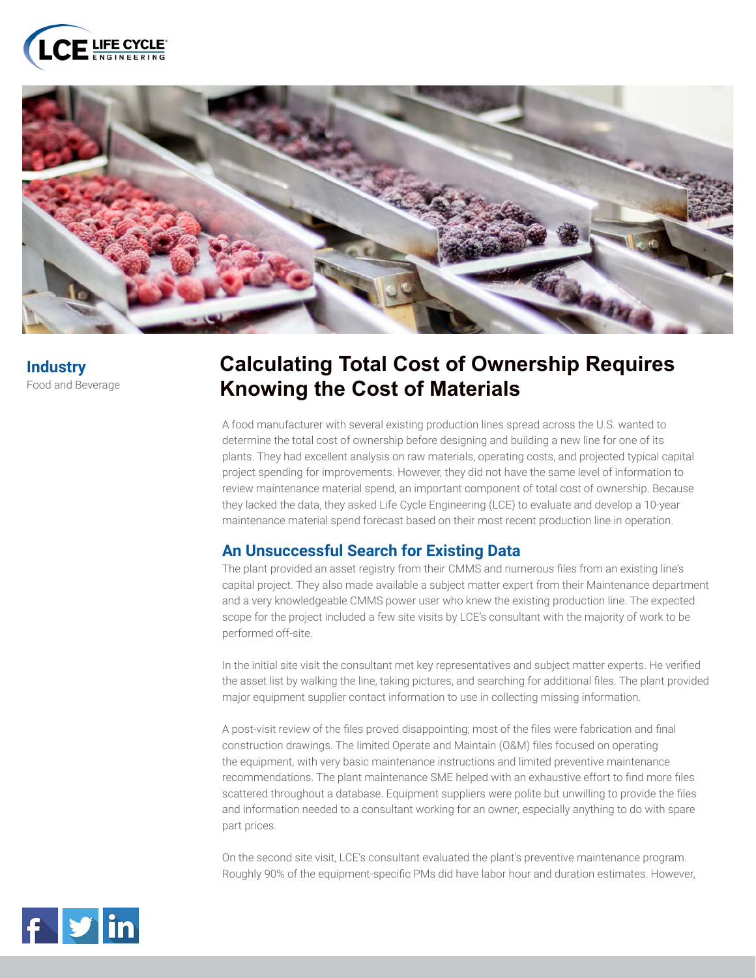



**Industry** Food and Beverage

## **Calculating Total Cost of Ownership Requires Knowing the Cost of Materials**

A food manufacturer with several existing production lines spread across the U.S. wanted to determine the total cost of ownership before designing and building a new line for one of its plants. They had excellent analysis on raw materials, operating costs, and projected typical capital project spending for improvements. However, they did not have the same level of information to review maintenance material spend, an important component of total cost of ownership. Because they lacked the data, they asked Life Cycle Engineering (LCE) to evaluate and develop a 10-year maintenance material spend forecast based on their most recent production line in operation.

## **An Unsuccessful Search for Existing Data**

The plant provided an asset registry from their CMMS and numerous files from an existing line's capital project. They also made available a subject matter expert from their Maintenance department and a very knowledgeable CMMS power user who knew the existing production line. The expected scope for the project included a few site visits by LCE's consultant with the majority of work to be performed off-site.

In the initial site visit the consultant met key representatives and subject matter experts. He verified the asset list by walking the line, taking pictures, and searching for additional files. The plant provided major equipment supplier contact information to use in collecting missing information.

A post-visit review of the files proved disappointing; most of the files were fabrication and final construction drawings. The limited Operate and Maintain (O&M) files focused on operating the equipment, with very basic maintenance instructions and limited preventive maintenance recommendations. The plant maintenance SME helped with an exhaustive effort to find more files scattered throughout a database. Equipment suppliers were polite but unwilling to provide the files and information needed to a consultant working for an owner, especially anything to do with spare part prices.

On the second site visit, LCE's consultant evaluated the plant's preventive maintenance program. Roughly 90% of the equipment-specific PMs did have labor hour and duration estimates. However,